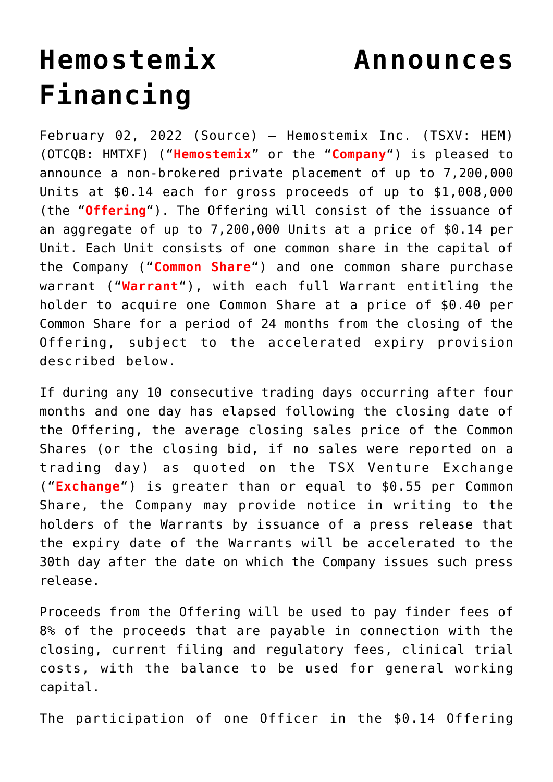# **[Hemostemix Announces](https://investorintel.com/markets/biotech-healthcare/biotech-news/hemostemix-announces-financing/) [Financing](https://investorintel.com/markets/biotech-healthcare/biotech-news/hemostemix-announces-financing/)**

February 02, 2022 ([Source](https://www.newsfilecorp.com/release/112497)) — Hemostemix Inc. (TSXV: HEM) (OTCQB: HMTXF) ("**Hemostemix**" or the "**Company**") is pleased to announce a non-brokered private placement of up to 7,200,000 Units at \$0.14 each for gross proceeds of up to \$1,008,000 (the "**Offering**"). The Offering will consist of the issuance of an aggregate of up to 7,200,000 Units at a price of \$0.14 per Unit. Each Unit consists of one common share in the capital of the Company ("**Common Share**") and one common share purchase warrant ("**Warrant**"), with each full Warrant entitling the holder to acquire one Common Share at a price of \$0.40 per Common Share for a period of 24 months from the closing of the Offering, subject to the accelerated expiry provision described below.

If during any 10 consecutive trading days occurring after four months and one day has elapsed following the closing date of the Offering, the average closing sales price of the Common Shares (or the closing bid, if no sales were reported on a trading day) as quoted on the TSX Venture Exchange ("**Exchange**") is greater than or equal to \$0.55 per Common Share, the Company may provide notice in writing to the holders of the Warrants by issuance of a press release that the expiry date of the Warrants will be accelerated to the 30th day after the date on which the Company issues such press release.

Proceeds from the Offering will be used to pay finder fees of 8% of the proceeds that are payable in connection with the closing, current filing and regulatory fees, clinical trial costs, with the balance to be used for general working capital.

The participation of one Officer in the \$0.14 Offering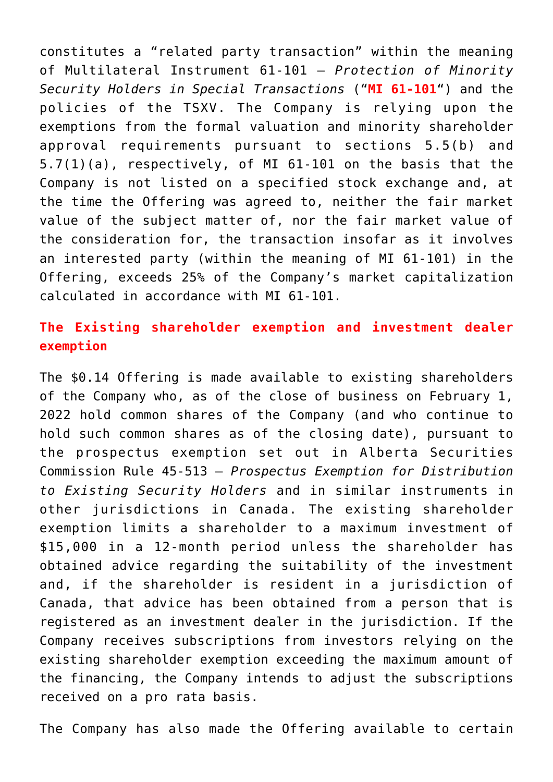constitutes a "related party transaction" within the meaning of Multilateral Instrument 61-101 – *Protection of Minority Security Holders in Special Transactions* ("**MI 61-101**") and the policies of the TSXV. The Company is relying upon the exemptions from the formal valuation and minority shareholder approval requirements pursuant to sections 5.5(b) and 5.7(1)(a), respectively, of MI 61-101 on the basis that the Company is not listed on a specified stock exchange and, at the time the Offering was agreed to, neither the fair market value of the subject matter of, nor the fair market value of the consideration for, the transaction insofar as it involves an interested party (within the meaning of MI 61-101) in the Offering, exceeds 25% of the Company's market capitalization calculated in accordance with MI 61-101.

# **The Existing shareholder exemption and investment dealer exemption**

The \$0.14 Offering is made available to existing shareholders of the Company who, as of the close of business on February 1, 2022 hold common shares of the Company (and who continue to hold such common shares as of the closing date), pursuant to the prospectus exemption set out in Alberta Securities Commission Rule 45-513 – *Prospectus Exemption for Distribution to Existing Security Holders* and in similar instruments in other jurisdictions in Canada. The existing shareholder exemption limits a shareholder to a maximum investment of \$15,000 in a 12-month period unless the shareholder has obtained advice regarding the suitability of the investment and, if the shareholder is resident in a jurisdiction of Canada, that advice has been obtained from a person that is registered as an investment dealer in the jurisdiction. If the Company receives subscriptions from investors relying on the existing shareholder exemption exceeding the maximum amount of the financing, the Company intends to adjust the subscriptions received on a pro rata basis.

The Company has also made the Offering available to certain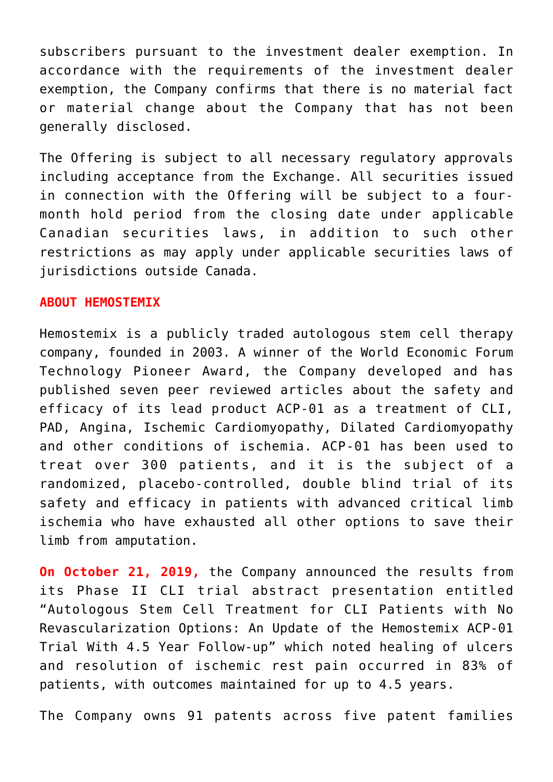subscribers pursuant to the investment dealer exemption. In accordance with the requirements of the investment dealer exemption, the Company confirms that there is no material fact or material change about the Company that has not been generally disclosed.

The Offering is subject to all necessary regulatory approvals including acceptance from the Exchange. All securities issued in connection with the Offering will be subject to a fourmonth hold period from the closing date under applicable Canadian securities laws, in addition to such other restrictions as may apply under applicable securities laws of jurisdictions outside Canada.

## **ABOUT HEMOSTEMIX**

Hemostemix is a publicly traded autologous stem cell therapy company, founded in 2003. A winner of the World Economic Forum Technology Pioneer Award, the Company developed and has published seven peer reviewed articles about the safety and efficacy of its lead product ACP-01 as a treatment of CLI, PAD, Angina, Ischemic Cardiomyopathy, Dilated Cardiomyopathy and other conditions of ischemia. ACP-01 has been used to treat over 300 patients, and it is the subject of a randomized, placebo-controlled, double blind trial of its safety and efficacy in patients with advanced critical limb ischemia who have exhausted all other options to save their limb from amputation.

**On October 21, 2019,** the Company announced the results from its Phase II CLI trial abstract presentation entitled "Autologous Stem Cell Treatment for CLI Patients with No Revascularization Options: An Update of the Hemostemix ACP-01 Trial With 4.5 Year Follow-up" which noted healing of ulcers and resolution of ischemic rest pain occurred in 83% of patients, with outcomes maintained for up to 4.5 years.

The Company owns 91 patents across five patent families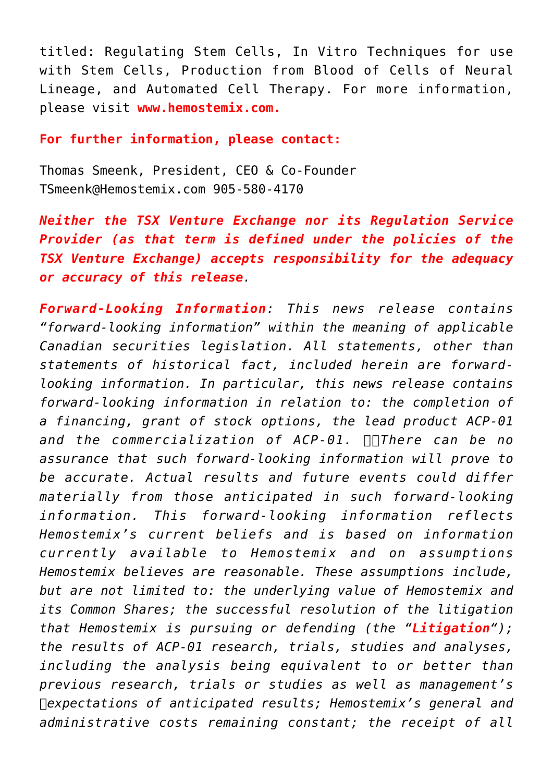titled: Regulating Stem Cells, In Vitro Techniques for use with Stem Cells, Production from Blood of Cells of Neural Lineage, and Automated Cell Therapy. For more information, please visit **[www.hemostemix.com.](https://www.newsfilecorp.com/redirect/3ewo3u5XqJ)**

## **For further information, please contact:**

Thomas Smeenk, President, CEO & Co-Founder [TSmeenk@Hemostemix.com](mailto:TSmeenk@Hemostemix.com) 905-580-4170

*Neither the TSX Venture Exchange nor its Regulation Service Provider (as that term is defined under the policies of the TSX Venture Exchange) accepts responsibility for the adequacy or accuracy of this release.*

*Forward-Looking Information: This news release contains "forward-looking information" within the meaning of applicable Canadian securities legislation. All statements, other than statements of historical fact, included herein are forwardlooking information. In particular, this news release contains forward-looking information in relation to: the completion of a financing, grant of stock options, the lead product ACP-01 and the commercialization of ACP-01. There can be no assurance that such forward-looking information will prove to be accurate. Actual results and future events could differ materially from those anticipated in such forward-looking information. This forward-looking information reflects Hemostemix's current beliefs and is based on information currently available to Hemostemix and on assumptions Hemostemix believes are reasonable. These assumptions include, but are not limited to: the underlying value of Hemostemix and its Common Shares; the successful resolution of the litigation that Hemostemix is pursuing or defending (the "Litigation"); the results of ACP-01 research, trials, studies and analyses, including the analysis being equivalent to or better than previous research, trials or studies as well as management's expectations of anticipated results; Hemostemix's general and administrative costs remaining constant; the receipt of all*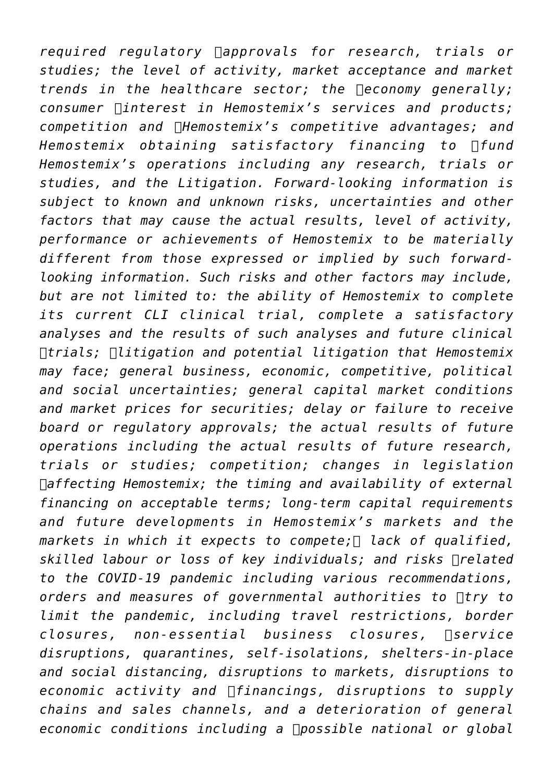required regulatory **napprovals** for research, trials or *studies; the level of activity, market acceptance and market* trends in the healthcare sector; the **neconomy** generally; consumer  $\Box$ interest in Hemostemix's services and products; *competition and Hemostemix's competitive advantages; and Hemostemix obtaining satisfactory financing to fund Hemostemix's operations including any research, trials or studies, and the Litigation. Forward-looking information is subject to known and unknown risks, uncertainties and other factors that may cause the actual results, level of activity, performance or achievements of Hemostemix to be materially different from those expressed or implied by such forwardlooking information. Such risks and other factors may include, but are not limited to: the ability of Hemostemix to complete its current CLI clinical trial, complete a satisfactory analyses and the results of such analyses and future clinical trials; litigation and potential litigation that Hemostemix may face; general business, economic, competitive, political and social uncertainties; general capital market conditions and market prices for securities; delay or failure to receive board or regulatory approvals; the actual results of future operations including the actual results of future research, trials or studies; competition; changes in legislation affecting Hemostemix; the timing and availability of external financing on acceptable terms; long-term capital requirements and future developments in Hemostemix's markets and the markets in which it expects to compete; lack of qualified, skilled labour or loss of key individuals; and risks*  $\Box$ related *to the COVID-19 pandemic including various recommendations,* orders and measures of governmental authorities to  $\Box$ try to *limit the pandemic, including travel restrictions, border* closures, non-essential business closures,  $\Box$ service *disruptions, quarantines, self-isolations, shelters-in-place and social distancing, disruptions to markets, disruptions to economic activity and financings, disruptions to supply chains and sales channels, and a deterioration of general* economic conditions including a possible national or global